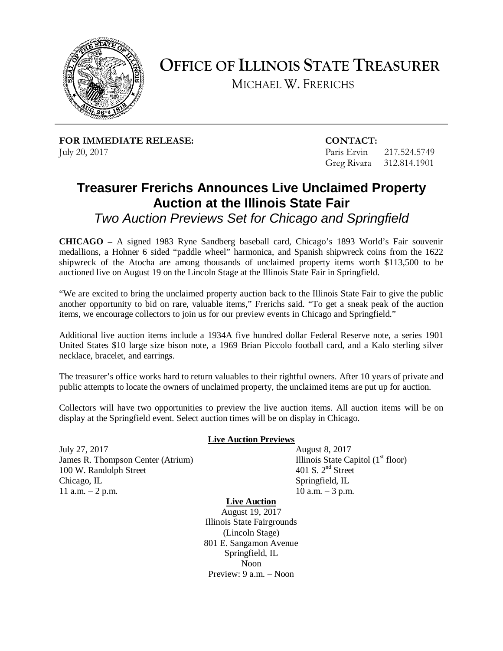

# **OFFICE OF ILLINOIS STATE TREASURER**

MICHAEL W. FRERICHS

**FOR IMMEDIATE RELEASE: CONTACT:** July 20, 2017 **Paris Ervin** 217.524.5749

Greg Rivara 312.814.1901

## **Treasurer Frerichs Announces Live Unclaimed Property Auction at the Illinois State Fair**

 *Two Auction Previews Set for Chicago and Springfield* 

 medallions, a Hohner 6 sided "paddle wheel" harmonica, and Spanish shipwreck coins from the 1622 **CHICAGO –** A signed 1983 Ryne Sandberg baseball card, Chicago's 1893 World's Fair souvenir shipwreck of the Atocha are among thousands of unclaimed property items worth \$113,500 to be auctioned live on August 19 on the Lincoln Stage at the Illinois State Fair in Springfield.

"We are excited to bring the unclaimed property auction back to the Illinois State Fair to give the public another opportunity to bid on rare, valuable items," Frerichs said. "To get a sneak peak of the auction items, we encourage collectors to join us for our preview events in Chicago and Springfield."

 Additional live auction items include a 1934A five hundred dollar Federal Reserve note, a series 1901 United States \$10 large size bison note, a 1969 Brian Piccolo football card, and a Kalo sterling silver necklace, bracelet, and earrings.

 The treasurer's office works hard to return valuables to their rightful owners. After 10 years of private and public attempts to locate the owners of unclaimed property, the unclaimed items are put up for auction.

 Collectors will have two opportunities to preview the live auction items. All auction items will be on display at the Springfield event. Select auction times will be on display in Chicago.

July 27, 2017 July 27, 2017<br>James R. Thompson Center (Atrium) 100 W. Randolph Street Chicago, IL 11 a.m. – 2 p.m. 10 a.m. – 3 p.m.

#### **Live Auction Previews**

August 8, 2017 Illinois State Capitol  $(1<sup>st</sup>$  floor) 401 S. 2<sup>nd</sup> Street Springfield, IL<br>10 a.m.  $-3$  p.m.

### **Live Auction**

 August 19, 2017 (Lincoln Stage) Preview: 9 a.m. – Noon Illinois State Fairgrounds 801 E. Sangamon Avenue Springfield, IL Noon